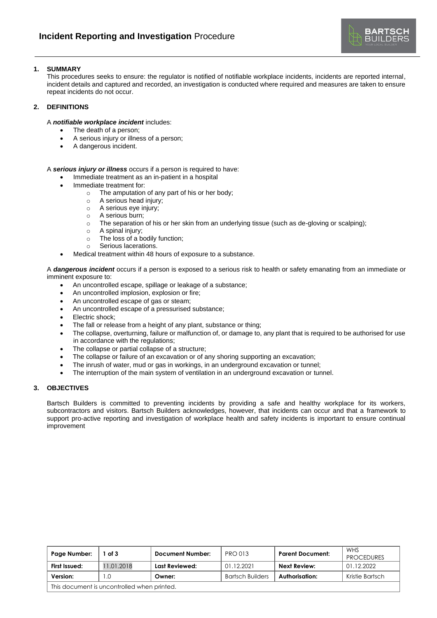

## **1. SUMMARY**

This procedures seeks to ensure: the regulator is notified of notifiable workplace incidents, incidents are reported internal, incident details and captured and recorded, an investigation is conducted where required and measures are taken to ensure repeat incidents do not occur.

## **2. DEFINITIONS**

## A *notifiable workplace incident* includes:

- The death of a person;
- A serious injury or illness of a person;
- A dangerous incident.

A *serious injury or illness* occurs if a person is required to have:

- Immediate treatment as an in-patient in a hospital
- Immediate treatment for:
	- o The amputation of any part of his or her body;
	- o A serious head injury;
	- o A serious eye injury;
	- o A serious burn;
	- o The separation of his or her skin from an underlying tissue (such as de-gloving or scalping);
	- o A spinal injury;
	- o The loss of a bodily function;
	- o Serious lacerations.
- Medical treatment within 48 hours of exposure to a substance.

A *dangerous incident* occurs if a person is exposed to a serious risk to health or safety emanating from an immediate or imminent exposure to:

- An uncontrolled escape, spillage or leakage of a substance;
- An uncontrolled implosion, explosion or fire;
- An uncontrolled escape of gas or steam;
- An uncontrolled escape of a pressurised substance;
- Electric shock;
- The fall or release from a height of any plant, substance or thing;
- The collapse, overturning, failure or malfunction of, or damage to, any plant that is required to be authorised for use in accordance with the regulations;
- The collapse or partial collapse of a structure;
- The collapse or failure of an excavation or of any shoring supporting an excavation;
- The inrush of water, mud or gas in workings, in an underground excavation or tunnel;
- The interruption of the main system of ventilation in an underground excavation or tunnel.

#### **3. OBJECTIVES**

Bartsch Builders is committed to preventing incidents by providing a safe and healthy workplace for its workers, subcontractors and visitors. Bartsch Builders acknowledges, however, that incidents can occur and that a framework to support pro-active reporting and investigation of workplace health and safety incidents is important to ensure continual improvement

| Page Number:                                | of 3       | <b>Document Number:</b> | <b>PRO 013</b>          | <b>Parent Document:</b> | WHS<br><b>PROCEDURES</b> |
|---------------------------------------------|------------|-------------------------|-------------------------|-------------------------|--------------------------|
| First Issued:                               | 11.01.2018 | Last Reviewed:          | 01.12.2021              | Next Review:            | 01.12.2022               |
| Version:                                    |            | Owner:                  | <b>Bartsch Builders</b> | Authorisation:          | Kristie Bartsch          |
| This document is uncontrolled when printed. |            |                         |                         |                         |                          |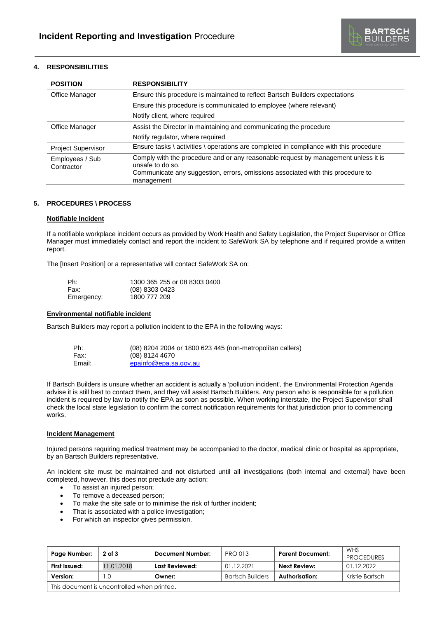

# **4. RESPONSIBILITIES**

| <b>POSITION</b>               | <b>RESPONSIBILITY</b>                                                                                                                                                                                   |  |  |
|-------------------------------|---------------------------------------------------------------------------------------------------------------------------------------------------------------------------------------------------------|--|--|
| Office Manager                | Ensure this procedure is maintained to reflect Bartsch Builders expectations                                                                                                                            |  |  |
|                               | Ensure this procedure is communicated to employee (where relevant)                                                                                                                                      |  |  |
|                               | Notify client, where required                                                                                                                                                                           |  |  |
| Office Manager                | Assist the Director in maintaining and communicating the procedure                                                                                                                                      |  |  |
|                               | Notify regulator, where required                                                                                                                                                                        |  |  |
| <b>Project Supervisor</b>     | Ensure tasks \ activities \ operations are completed in compliance with this procedure                                                                                                                  |  |  |
| Employees / Sub<br>Contractor | Comply with the procedure and or any reasonable request by management unless it is<br>unsafe to do so.<br>Communicate any suggestion, errors, omissions associated with this procedure to<br>management |  |  |

#### **5. PROCEDURES \ PROCESS**

#### **Notifiable Incident**

If a notifiable workplace incident occurs as provided by Work Health and Safety Legislation, the Project Supervisor or Office Manager must immediately contact and report the incident to SafeWork SA by telephone and if required provide a written report.

The [Insert Position] or a representative will contact SafeWork SA on:

| Ph:        | 1300 365 255 or 08 8303 0400 |
|------------|------------------------------|
| Fax:       | $(08)$ 8303 0423             |
| Emergency: | 1800 777 209                 |

#### **Environmental notifiable incident**

Bartsch Builders may report a pollution incident to the EPA in the following ways:

| Ph:    | (08) 8204 2004 or 1800 623 445 (non-metropolitan callers) |
|--------|-----------------------------------------------------------|
| Fax:   | $(08)$ 8124 4670                                          |
| Email: | epainfo@epa.sa.gov.au                                     |

If Bartsch Builders is unsure whether an accident is actually a 'pollution incident', the Environmental Protection Agenda advise it is still best to contact them, and they will assist Bartsch Builders. Any person who is responsible for a pollution incident is required by law to notify the EPA as soon as possible. When working interstate, the Project Supervisor shall check the local state legislation to confirm the correct notification requirements for that jurisdiction prior to commencing works.

### **Incident Management**

Injured persons requiring medical treatment may be accompanied to the doctor, medical clinic or hospital as appropriate, by an Bartsch Builders representative.

An incident site must be maintained and not disturbed until all investigations (both internal and external) have been completed, however, this does not preclude any action:

- To assist an injured person;
- To remove a deceased person;
- To make the site safe or to minimise the risk of further incident;
- That is associated with a police investigation;
- For which an inspector gives permission.

| Page Number:                                | $2$ of $3$ | <b>Document Number:</b> | <b>PRO 013</b>          | <b>Parent Document:</b> | WHS<br><b>PROCEDURES</b> |
|---------------------------------------------|------------|-------------------------|-------------------------|-------------------------|--------------------------|
| First Issued:                               | 11.01.2018 | Last Reviewed:          | 01.12.2021              | <b>Next Review:</b>     | 01.12.2022               |
| Version:                                    | $\Omega$   | Owner:                  | <b>Bartsch Builders</b> | Authorisation:          | Kristie Bartsch          |
| This document is uncontrolled when printed. |            |                         |                         |                         |                          |